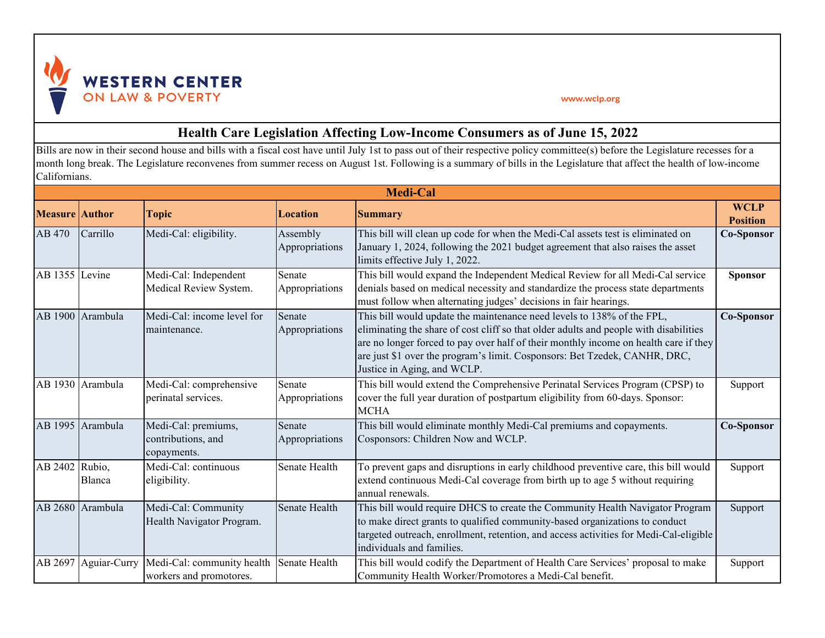

## www.wclp.org

## **Health Care Legislation Affecting Low-Income Consumers as of June 15, 2022**

Bills are now in their second house and bills with a fiscal cost have until July 1st to pass out of their respective policy committee(s) before the Legislature recesses for a month long break. The Legislature reconvenes from summer recess on August 1st. Following is a summary of bills in the Legislature that affect the health of low-income Californians.

| <b>Medi-Cal</b>       |                  |                                                          |                            |                                                                                                                                                                                                                                                                                                                                                                      |                                |
|-----------------------|------------------|----------------------------------------------------------|----------------------------|----------------------------------------------------------------------------------------------------------------------------------------------------------------------------------------------------------------------------------------------------------------------------------------------------------------------------------------------------------------------|--------------------------------|
| <b>Measure</b> Author |                  | <b>Topic</b>                                             | Location                   | <b>Summary</b>                                                                                                                                                                                                                                                                                                                                                       | <b>WCLP</b><br><b>Position</b> |
| AB 470                | Carrillo         | Medi-Cal: eligibility.                                   | Assembly<br>Appropriations | This bill will clean up code for when the Medi-Cal assets test is eliminated on<br>January 1, 2024, following the 2021 budget agreement that also raises the asset<br>limits effective July 1, 2022.                                                                                                                                                                 | <b>Co-Sponsor</b>              |
| AB 1355 Levine        |                  | Medi-Cal: Independent<br>Medical Review System.          | Senate<br>Appropriations   | This bill would expand the Independent Medical Review for all Medi-Cal service<br>denials based on medical necessity and standardize the process state departments<br>must follow when alternating judges' decisions in fair hearings.                                                                                                                               | <b>Sponsor</b>                 |
|                       | AB 1900 Arambula | Medi-Cal: income level for<br>maintenance.               | Senate<br>Appropriations   | This bill would update the maintenance need levels to 138% of the FPL,<br>eliminating the share of cost cliff so that older adults and people with disabilities<br>are no longer forced to pay over half of their monthly income on health care if they<br>are just \$1 over the program's limit. Cosponsors: Bet Tzedek, CANHR, DRC,<br>Justice in Aging, and WCLP. | <b>Co-Sponsor</b>              |
|                       | AB 1930 Arambula | Medi-Cal: comprehensive<br>perinatal services.           | Senate<br>Appropriations   | This bill would extend the Comprehensive Perinatal Services Program (CPSP) to<br>cover the full year duration of postpartum eligibility from 60-days. Sponsor:<br><b>MCHA</b>                                                                                                                                                                                        | Support                        |
| AB 1995               | Arambula         | Medi-Cal: premiums,<br>contributions, and<br>copayments. | Senate<br>Appropriations   | This bill would eliminate monthly Medi-Cal premiums and copayments.<br>Cosponsors: Children Now and WCLP.                                                                                                                                                                                                                                                            | <b>Co-Sponsor</b>              |
| AB 2402 Rubio,        | Blanca           | Medi-Cal: continuous<br>eligibility.                     | Senate Health              | To prevent gaps and disruptions in early childhood preventive care, this bill would<br>extend continuous Medi-Cal coverage from birth up to age 5 without requiring<br>annual renewals.                                                                                                                                                                              | Support                        |
|                       | AB 2680 Arambula | Medi-Cal: Community<br>Health Navigator Program.         | Senate Health              | This bill would require DHCS to create the Community Health Navigator Program<br>to make direct grants to qualified community-based organizations to conduct<br>targeted outreach, enrollment, retention, and access activities for Medi-Cal-eligible<br>individuals and families.                                                                                   | Support                        |
| AB 2697               | Aguiar-Curry     | Medi-Cal: community health<br>workers and promotores.    | Senate Health              | This bill would codify the Department of Health Care Services' proposal to make<br>Community Health Worker/Promotores a Medi-Cal benefit.                                                                                                                                                                                                                            | Support                        |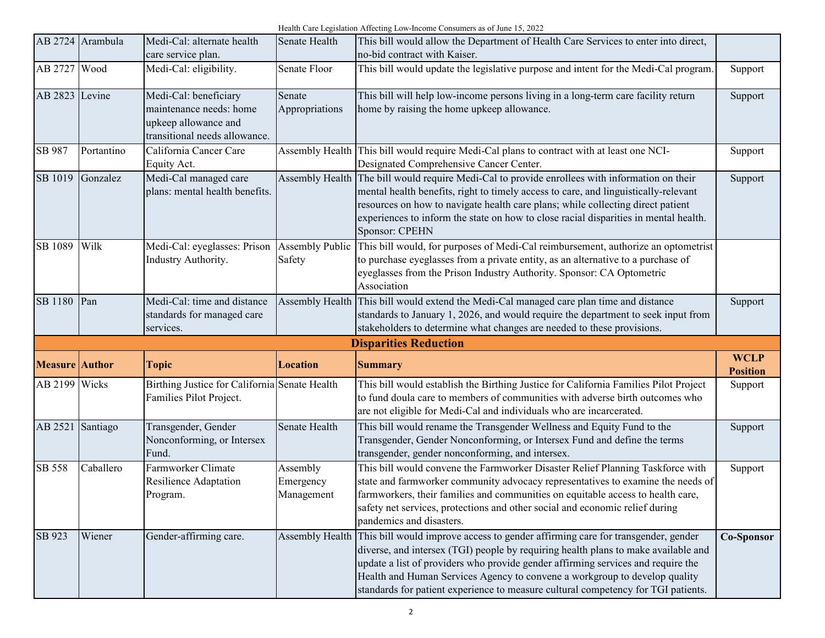Health Care Legislation Affecting Low-Income Consumers as of June 15, 2022

|                       | AB 2724 Arambula | Medi-Cal: alternate health<br>care service plan.                                                          | Senate Health                       | This bill would allow the Department of Health Care Services to enter into direct,<br>no-bid contract with Kaiser.                                                                                                                                                                                                                                                                                                                           |                                |
|-----------------------|------------------|-----------------------------------------------------------------------------------------------------------|-------------------------------------|----------------------------------------------------------------------------------------------------------------------------------------------------------------------------------------------------------------------------------------------------------------------------------------------------------------------------------------------------------------------------------------------------------------------------------------------|--------------------------------|
| AB 2727               | Wood             | Medi-Cal: eligibility.                                                                                    | Senate Floor                        | This bill would update the legislative purpose and intent for the Medi-Cal program.                                                                                                                                                                                                                                                                                                                                                          | Support                        |
| AB 2823 Levine        |                  | Medi-Cal: beneficiary<br>maintenance needs: home<br>upkeep allowance and<br>transitional needs allowance. | Senate<br>Appropriations            | This bill will help low-income persons living in a long-term care facility return<br>home by raising the home upkeep allowance.                                                                                                                                                                                                                                                                                                              | Support                        |
| SB 987                | Portantino       | California Cancer Care<br>Equity Act.                                                                     |                                     | Assembly Health This bill would require Medi-Cal plans to contract with at least one NCI-<br>Designated Comprehensive Cancer Center.                                                                                                                                                                                                                                                                                                         | Support                        |
| SB 1019               | Gonzalez         | Medi-Cal managed care<br>plans: mental health benefits.                                                   | Assembly Health                     | The bill would require Medi-Cal to provide enrollees with information on their<br>mental health benefits, right to timely access to care, and linguistically-relevant<br>resources on how to navigate health care plans; while collecting direct patient<br>experiences to inform the state on how to close racial disparities in mental health.<br>Sponsor: CPEHN                                                                           | Support                        |
| SB 1089               | Wilk             | Medi-Cal: eyeglasses: Prison<br>Industry Authority.                                                       | <b>Assembly Public</b><br>Safety    | This bill would, for purposes of Medi-Cal reimbursement, authorize an optometrist<br>to purchase eyeglasses from a private entity, as an alternative to a purchase of<br>eyeglasses from the Prison Industry Authority. Sponsor: CA Optometric<br>Association                                                                                                                                                                                |                                |
| SB 1180               | Pan              | Medi-Cal: time and distance<br>standards for managed care<br>services.                                    |                                     | Assembly Health This bill would extend the Medi-Cal managed care plan time and distance<br>standards to January 1, 2026, and would require the department to seek input from<br>stakeholders to determine what changes are needed to these provisions.                                                                                                                                                                                       | Support                        |
|                       |                  |                                                                                                           |                                     | <b>Disparities Reduction</b>                                                                                                                                                                                                                                                                                                                                                                                                                 |                                |
| <b>Measure</b> Author |                  | <b>Topic</b>                                                                                              | <b>Location</b>                     | <b>Summary</b>                                                                                                                                                                                                                                                                                                                                                                                                                               | <b>WCLP</b><br><b>Position</b> |
| AB 2199 Wicks         |                  | Birthing Justice for California Senate Health<br>Families Pilot Project.                                  |                                     | This bill would establish the Birthing Justice for California Families Pilot Project<br>to fund doula care to members of communities with adverse birth outcomes who<br>are not eligible for Medi-Cal and individuals who are incarcerated.                                                                                                                                                                                                  | Support                        |
| AB 2521 Santiago      |                  | Transgender, Gender<br>Nonconforming, or Intersex<br>Fund.                                                | Senate Health                       | This bill would rename the Transgender Wellness and Equity Fund to the<br>Transgender, Gender Nonconforming, or Intersex Fund and define the terms<br>transgender, gender nonconforming, and intersex.                                                                                                                                                                                                                                       | Support                        |
| SB 558                | Caballero        | Farmworker Climate<br>Resilience Adaptation<br>Program.                                                   | Assembly<br>Emergency<br>Management | This bill would convene the Farmworker Disaster Relief Planning Taskforce with<br>state and farmworker community advocacy representatives to examine the needs of<br>farmworkers, their families and communities on equitable access to health care,<br>safety net services, protections and other social and economic relief during<br>pandemics and disasters.                                                                             | Support                        |
| SB 923                | Wiener           | Gender-affirming care.                                                                                    |                                     | Assembly Health This bill would improve access to gender affirming care for transgender, gender<br>diverse, and intersex (TGI) people by requiring health plans to make available and<br>update a list of providers who provide gender affirming services and require the<br>Health and Human Services Agency to convene a workgroup to develop quality<br>standards for patient experience to measure cultural competency for TGI patients. | Co-Sponsor                     |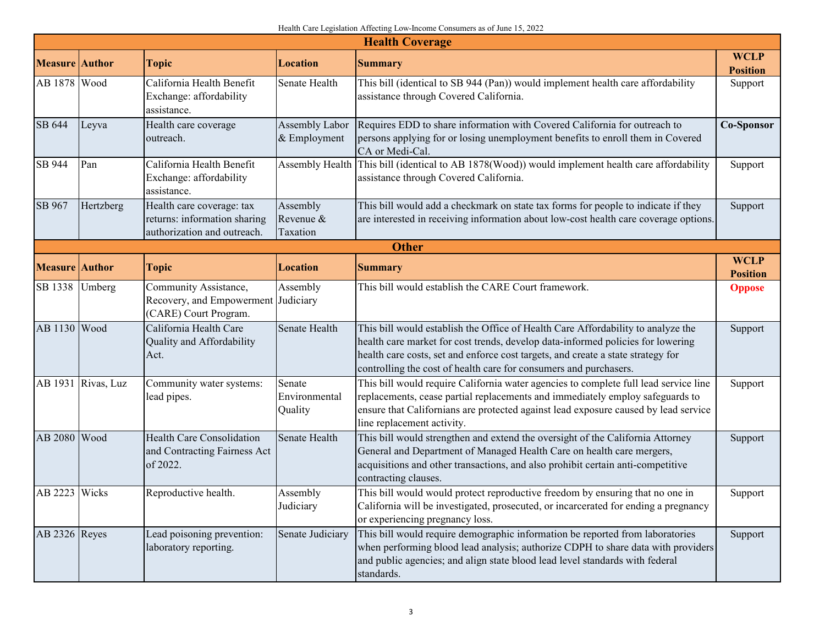## Health Care Legislation Affecting Low-Income Consumers as of June 15, 2022

| <b>Health Coverage</b> |                    |                                                                                          |                                    |                                                                                                                                                                                                                                                                                                                              |                                |  |  |
|------------------------|--------------------|------------------------------------------------------------------------------------------|------------------------------------|------------------------------------------------------------------------------------------------------------------------------------------------------------------------------------------------------------------------------------------------------------------------------------------------------------------------------|--------------------------------|--|--|
| <b>Measure</b> Author  |                    | <b>Topic</b>                                                                             | <b>Location</b>                    | <b>Summary</b>                                                                                                                                                                                                                                                                                                               | <b>WCLP</b><br><b>Position</b> |  |  |
| AB 1878 Wood           |                    | California Health Benefit<br>Exchange: affordability<br>assistance.                      | Senate Health                      | This bill (identical to SB 944 (Pan)) would implement health care affordability<br>assistance through Covered California.                                                                                                                                                                                                    | Support                        |  |  |
| SB 644                 | Leyva              | Health care coverage<br>outreach.                                                        | Assembly Labor<br>& Employment     | Requires EDD to share information with Covered California for outreach to<br>persons applying for or losing unemployment benefits to enroll them in Covered<br>CA or Medi-Cal.                                                                                                                                               | <b>Co-Sponsor</b>              |  |  |
| SB 944                 | Pan                | California Health Benefit<br>Exchange: affordability<br>assistance.                      |                                    | Assembly Health This bill (identical to AB 1878(Wood)) would implement health care affordability<br>assistance through Covered California.                                                                                                                                                                                   | Support                        |  |  |
| SB 967                 | Hertzberg          | Health care coverage: tax<br>returns: information sharing<br>authorization and outreach. | Assembly<br>Revenue &<br>Taxation  | This bill would add a checkmark on state tax forms for people to indicate if they<br>are interested in receiving information about low-cost health care coverage options.                                                                                                                                                    | Support                        |  |  |
|                        | <b>Other</b>       |                                                                                          |                                    |                                                                                                                                                                                                                                                                                                                              |                                |  |  |
| <b>Measure</b> Author  |                    | <b>Topic</b>                                                                             | <b>Location</b>                    | <b>Summary</b>                                                                                                                                                                                                                                                                                                               | <b>WCLP</b><br><b>Position</b> |  |  |
| SB 1338                | Umberg             | Community Assistance,<br>Recovery, and Empowerment<br>(CARE) Court Program.              | Assembly<br>Judiciary              | This bill would establish the CARE Court framework.                                                                                                                                                                                                                                                                          | <b>Oppose</b>                  |  |  |
| AB 1130 Wood           |                    | California Health Care<br>Quality and Affordability<br>Act.                              | Senate Health                      | This bill would establish the Office of Health Care Affordability to analyze the<br>health care market for cost trends, develop data-informed policies for lowering<br>health care costs, set and enforce cost targets, and create a state strategy for<br>controlling the cost of health care for consumers and purchasers. | Support                        |  |  |
|                        | AB 1931 Rivas, Luz | Community water systems:<br>lead pipes.                                                  | Senate<br>Environmental<br>Quality | This bill would require California water agencies to complete full lead service line<br>replacements, cease partial replacements and immediately employ safeguards to<br>ensure that Californians are protected against lead exposure caused by lead service<br>line replacement activity.                                   | Support                        |  |  |
| AB 2080 Wood           |                    | Health Care Consolidation<br>and Contracting Fairness Act<br>of 2022.                    | Senate Health                      | This bill would strengthen and extend the oversight of the California Attorney<br>General and Department of Managed Health Care on health care mergers,<br>acquisitions and other transactions, and also prohibit certain anti-competitive<br>contracting clauses.                                                           | Support                        |  |  |
| AB 2223 Wicks          |                    | Reproductive health.                                                                     | Assembly<br>Judiciary              | This bill would would protect reproductive freedom by ensuring that no one in<br>California will be investigated, prosecuted, or incarcerated for ending a pregnancy<br>or experiencing pregnancy loss.                                                                                                                      | Support                        |  |  |
| AB 2326 Reyes          |                    | Lead poisoning prevention:<br>laboratory reporting.                                      | Senate Judiciary                   | This bill would require demographic information be reported from laboratories<br>when performing blood lead analysis; authorize CDPH to share data with providers<br>and public agencies; and align state blood lead level standards with federal<br>standards.                                                              | Support                        |  |  |